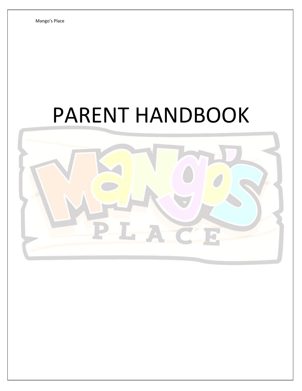# PARENT HANDBOOK

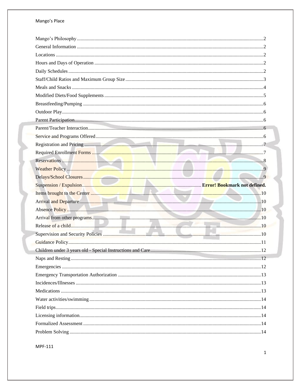#### Mango's Place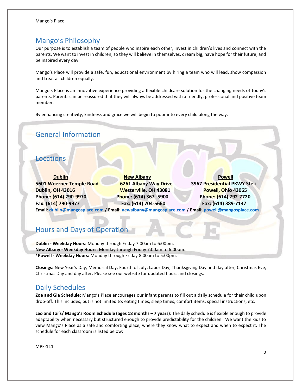# <span id="page-2-0"></span>Mango's Philosophy

Our purpose is to establish a team of people who inspire each other, invest in children's lives and connect with the parents. We want to invest in children, so they will believe in themselves, dream big, have hope for their future, and be inspired every day.

Mango's Place will provide a safe, fun, educational environment by hiring a team who will lead, show compassion and treat all children equally.

Mango's Place is an innovative experience providing a flexible childcare solution for the changing needs of today's parents. Parents can be reassured that they will always be addressed with a friendly, professional and positive team member.

By enhancing creativity, kindness and grace we will begin to pour into every child along the way.

# <span id="page-2-1"></span>General Information

# <span id="page-2-2"></span>Locations

**Dublin New Albany Powell 5601 Woerner Temple Road 6261 Albany Way Drive 3967 Presidential PKWY Ste i Dublin, OH 43016 Westerville, OH 43081 Powell, Ohio 43065 Phone: (614) 790-9970 Phone: (614) 367- 5900 Phone: (614) 792-7720 Fax: (614) 790-9977 Fax: (614) 704-5660 Fax: (614) 389-7137 Email: [dublin@mangosplace.com](mailto:dublin@mangosplace.com) / Email: [newalbany@mangosplace.com](mailto:newalbany@mangosplace.com) / Email: [powell@mangosplace.com](mailto:powell@mangosplace.com)**

# <span id="page-2-3"></span>Hours and Days of Operation

**Dublin - Weekday Hours:** Monday through Friday 7:00am to 6:00pm. **New Albany - Weekday Hours:** Monday through Friday 7:00am to 6:00pm. **\*Powell - Weekday Hours:** Monday through Friday 8:00am to 5:00pm.

**Closings:** New Year's Day, Memorial Day, Fourth of July, Labor Day, Thanksgiving Day and day after, Christmas Eve, Christmas Day and day after. Please see our website for updated hours and closings.

# <span id="page-2-4"></span>Daily Schedules

**Zoe and Gia Schedule:** Mango's Place encourages our infant parents to fill out a daily schedule for their child upon drop-off. This includes, but is not limited to: eating times, sleep times, comfort items, special instructions, etc.

**Leo and Tai's/ Mango's Room Schedule (ages 18 months – 7 years)**: The daily schedule is flexible enough to provide adaptability when necessary but structured enough to provide predictability for the children. We want the kids to view Mango's Place as a safe and comforting place, where they know what to expect and when to expect it. The schedule for each classroom is listed below: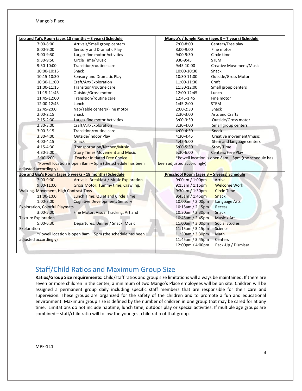|                                                           |                                       | Leo and Tai's Room (ages 18 months - 3 years) Schedule |                                            | Mango's / Jungle Room (ages 3 - 7 years) Schedule    |
|-----------------------------------------------------------|---------------------------------------|--------------------------------------------------------|--------------------------------------------|------------------------------------------------------|
|                                                           | 7:00-8:00                             | Arrivals/Small group centers                           | 7:00-8:00                                  | Centers/Free play                                    |
|                                                           | 8:00-9:00                             | Sensory and Dramatic Play                              | 8:00-9:00                                  | Fine motor                                           |
|                                                           | 9:00-9:30                             | Large/ fine motor Activities                           | 9:00-9:30                                  | Circle time                                          |
|                                                           | 9:30-9:50                             | Circle Time/Music                                      | 930-9:45                                   | <b>STEM</b>                                          |
|                                                           | 9:50-10:00                            | Transition/routine care                                | 9:45-10:00                                 | <b>Creative Movement/Music</b>                       |
|                                                           | 10:00-10:15                           | Snack                                                  | 10:00-10:30                                | Snack                                                |
|                                                           | 10:15-10:30                           | Sensory and Dramatic Play                              | 10:30-11:00                                | Outside/Gross Motor                                  |
|                                                           | 10:30-11:00                           | Craft/Art/Exploration                                  | 11:00-11:30                                | Craft                                                |
|                                                           | 11:00-11:15                           | Transition/routine care                                | 11:30-12:00                                | Small group centers                                  |
|                                                           | 11:15-11:45                           | Outside/Gross motor                                    | 12:00-12:45                                | Lunch                                                |
|                                                           | 11:45-12:00                           | Transition/routine care                                | 12:45-1:45                                 | Fine motor                                           |
|                                                           | 12:00-12:45                           | Lunch                                                  | 1:45-2:00                                  | <b>STEM</b>                                          |
|                                                           | 12:45-2:00                            | Nap/Table centers/Fine motor                           | $2:00-2:30$                                | Snack                                                |
|                                                           | $2:00-2:15$                           | Snack                                                  | 2:30-3:00                                  | <b>Arts and Crafts</b>                               |
|                                                           | $2:15 - 2:30$                         | Large/ fine motor Activities                           | $3:00-3:30$                                | Outside/Gross motor                                  |
|                                                           | 2:30-3:00                             | Craft/Art/Exploration                                  | 3:30-4:00                                  | Small group centers                                  |
|                                                           | $3:00-3:15$                           | Transition/routine care                                | 4:00-4:30                                  | Snack                                                |
|                                                           | 3:30-4:00                             | Outside/Indoor Play                                    | 4:30-4:45                                  | Creative movement/music                              |
|                                                           | 4:00-4:15                             | Snack                                                  | 4:45-5:00                                  | Stem and language centers                            |
|                                                           | 4:15-4:30                             | Transportation/Kitchen/Music                           | 5:00-5:30                                  | <b>Story Time</b>                                    |
|                                                           | 4:30-5:00                             | <b>Story Time/ Movement and Music</b>                  | 5:30-6:00                                  | Centers/Free Play                                    |
|                                                           | $5:00-6:00$                           | <b>Teacher Initiated Free Choice</b>                   |                                            | *Powell location is open 8am - 5pm (the schedule has |
| *Powell location is open 8am - 5pm (the schedule has been |                                       | been adjusted accordingly)                             |                                            |                                                      |
|                                                           | adjusted accordingly)                 |                                                        |                                            |                                                      |
|                                                           |                                       | Zoe and Gia's Room (ages 6 weeks - 18 months) Schedule | Preschool Room (ages 3 - 5 years) Schedule |                                                      |
|                                                           | 7:00-9:00                             | <b>Arrivals: Breakfast / Music Exploration</b>         | 9:00am / 1:00pm                            | Arrival                                              |
|                                                           | $9:00 - 11:00$                        | <b>Gross Motor: Tummy time, Crawling,</b>              | $9:15$ am / 1:15pm                         | <b>Welcome Work</b>                                  |
| <b>Walking, Movement, High Contrast Toys</b>              |                                       | 9:30am / 1:30pm                                        | <b>Circle Time</b>                         |                                                      |
|                                                           | 11:00-1:00                            | <b>Lunch Time: Quiet and Circle Time</b>               | 9:45am / 1:45pm                            | <b>Snack</b>                                         |
|                                                           | $1:00-3:00$                           | <b>Cognitive Development: Sensory</b>                  | 10:00am / 2:00pm                           | Language Arts                                        |
|                                                           | <b>Exploration, Colorful Playmats</b> |                                                        | 10:15am / 2:15pm                           | Recess                                               |
|                                                           | 3:00-5:00                             | Fine Motor: Visual Tracking, Art and                   | 10:30am / 2:30pm                           | Snack                                                |
|                                                           | <b>Texture Exploration</b>            |                                                        | 10:45am / 2:45pm                           | Music / Art                                          |
|                                                           | 5:00-6:30                             | Departures: Dinner / Snack, Music                      | 11:00am / 3:00pm                           | <b>Social Studies</b>                                |
| Exploration                                               |                                       |                                                        | 11:15am / 3:15pm                           | Science                                              |
| *Powell location is open 8am - 5pm (the schedule has been |                                       | 11:30am / 3:30pm                                       | Math                                       |                                                      |
|                                                           | adjusted accordingly)                 |                                                        | 11:45am / 3:45pm                           | Centers                                              |
|                                                           |                                       |                                                        | 12:00pm / 4:00pm                           | Pack-Up / Dismissal                                  |
|                                                           |                                       |                                                        |                                            |                                                      |

# <span id="page-3-0"></span>Staff/Child Ratios and Maximum Group Size

**Ratios/Group Size requirements:** Child/staff ratios and group size limitations will always be maintained. If there are seven or more children in the center, a minimum of two Mango's Place employees will be on site. Children will be assigned a permanent group daily including specific staff members that are responsible for their care and supervision. These groups are organized for the safety of the children and to promote a fun and educational environment. Maximum group size is defined by the number of children in one group that may be cared for at any time. Limitations do not include naptime, lunch time, outdoor play or special activities. If multiple age groups are combined – staff/child ratio will follow the youngest child ratio of that group.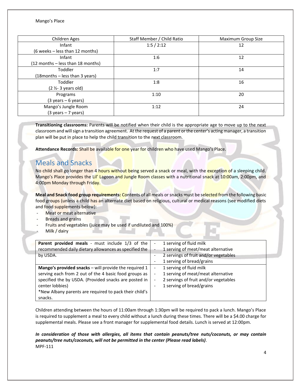| Children Ages                         | Staff Member / Child Ratio | Maximum Group Size |
|---------------------------------------|----------------------------|--------------------|
| Infant                                | 1:5/2:12                   | 12                 |
| (6 weeks - less than 12 months)       |                            |                    |
| Infant                                | 1:6                        | 12                 |
| (12 months - less than 18 months)     |                            |                    |
| Toddler                               | 1:7                        | 14                 |
| (18 months – less than 3 years)       |                            |                    |
| Toddler                               | 1:8                        | 16                 |
| $(2 \frac{1}{2} - 3 years old)$       |                            |                    |
| Programs                              | 1:10                       | 20                 |
| $(3 \text{ years} - 6 \text{ years})$ |                            |                    |
| Mango's Jungle Room                   | 1:12                       | 24                 |
| $(3 \text{ years} - 7 \text{ years})$ |                            |                    |

**Transitioning classrooms:** Parents will be notified when their child is the appropriate age to move up to the next classroom and will sign a transition agreement. At the request of a parent or the center's acting manager, a transition plan will be put in place to help the child transition to the next classroom.

<span id="page-4-0"></span>**Attendance Records:** Shall be available for one year for children who have used Mango's Place.

# Meals and Snacks

No child shall go longer than 4 hours without being served a snack or meal, with the exception of a sleeping child. Mango's Place provides the Lil' Lagoon and Jungle Room classes with a nutritional snack at 10:00am, 2:00pm, and 4:00pm Monday through Friday.

**Meal and Snack food group requirements:** Contents of all meals or snacks must be selected from the following basic food groups (unless a child has an alternate diet based on religious, cultural or medical reasons (see modified diets and food supplements below):

- Meat or meat alternative
- **Breads and grains**
- Fruits and vegetables (juice may be used if undiluted and 100%)
- Milk / dairy

| Parent provided meals - must include 1/3 of the<br>recommended daily dietary allowances as specified the<br>by USDA.                                                                                                                                            | 1 serving of fluid milk<br>$\overline{\phantom{0}}$<br>1 serving of meat/meat alternative<br>$\mathcal{L}_{\mathcal{I}}$<br>2 servings of fruit and/or vegetables<br>$\overline{\phantom{0}}$<br>1 serving of bread/grains   |
|-----------------------------------------------------------------------------------------------------------------------------------------------------------------------------------------------------------------------------------------------------------------|------------------------------------------------------------------------------------------------------------------------------------------------------------------------------------------------------------------------------|
| Mango's provided snacks - will provide the required 1<br>serving each from 2 out of the 4 basic food groups as<br>specified the by USDA. (Provided snacks are posted in<br>center lobbies)<br>*New Albany parents are required to pack their child's<br>snacks. | 1 serving of fluid milk<br>$\overline{\phantom{0}}$<br>1 serving of meat/meat alternative<br>$\overline{\phantom{0}}$<br>2 servings of fruit and/or vegetables<br>$\overline{\phantom{a}}$<br>1 serving of bread/grains<br>- |

Children attending between the hours of 11:00am through 1:30pm will be required to pack a lunch. Mango's Place is required to supplement a meal to every child without a lunch during these times. There will be a \$4.00 charge for supplemental meals. Please see a front manager for supplemental food details. Lunch is served at 12:00pm.

#### MPF-111 *In consideration of those with allergies, all items that contain peanuts/tree nuts/coconuts, or may contain peanuts/tree nuts/coconuts, will not be permitted in the center (Please read labels)*.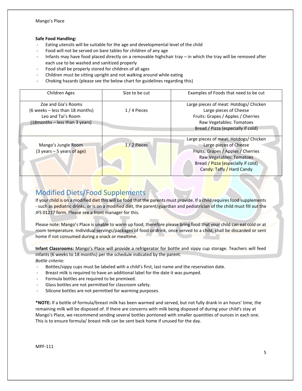#### **Safe Food Handling:**

- Eating utensils will be suitable for the age and developmental level of the child
- Food will not be served on bare tables for children of any age
- Infants may have food placed directly on a removable highchair tray in which the tray will be removed after each use to be washed and sanitized properly
- Food shall be properly stored for children of all ages
- Children must be sitting upright and not walking around while eating
- Choking hazards (please see the below chart for guidelines regarding this)

| Children Ages                                                                                                   | Size to be cut | Examples of Foods that need to be cut                                                                                                                                                                 |
|-----------------------------------------------------------------------------------------------------------------|----------------|-------------------------------------------------------------------------------------------------------------------------------------------------------------------------------------------------------|
| Zoe and Gia's Rooms<br>(6 weeks - less than 18 months)<br>Leo and Tai's Room<br>(18 months - less than 3 years) | 1/4 Pieces     | Large pieces of meat: Hotdogs/ Chicken<br>Large pieces of Cheese<br>Fruits: Grapes / Apples / Cherries<br>Raw Vegetables: Tomatoes<br>Bread / Pizza (especially if cold)                              |
| Mango's Jungle Room<br>$(3 \text{ years} - 5 \text{ years of age})$                                             | $1/2$ Pieces   | Large pieces of meat: Hotdogs/ Chicken<br>Large pieces of Cheese<br>Fruits: Grapes / Apples / Cherries<br>Raw Vegetables: Tomatoes<br>Bread / Pizza (especially if cold)<br>Candy: Taffy / Hard Candy |

# <span id="page-5-0"></span>Modified Diets/Food Supplements

If your child is on a modified diet this will be food that the parents must provide. If a child requires food supplements - such as pediatric drinks, or is on a modified diet, the parent/guardian and pediatrician of the child must fill out the JFS 01217 form. Please see a front manager for this.

Please note: Mango's Place is unable to warm up food, therefore please bring food that your child can eat cold or at room temperature. Individual servings/packages of food or drink, once served to a child, shall be discarded or sent home if not consumed during a snack or mealtime.

**Infant Classrooms:** Mango's Place will provide a refrigerator for bottle and sippy cup storage. Teachers will feed infants (6 weeks to 18 months) per the schedule indicated by the parent. *Bottle criteria:*

- Bottles/sippy cups must be labeled with a child's first, last name and the reservation date.
- Breast milk is required to have an additional label for the date it was pumped.
- Formula bottles are required to be premixed.
- Glass bottles are not permitted for classroom safety.
- Silicone bottles are not permitted for warming purposes.

**\*NOTE:** If a bottle of formula/breast milk has been warmed and served, but not fully drank in an hours' time, the remaining milk will be disposed of. If there are concerns with milk being disposed of during your child's stay at Mango's Place, we recommend sending several bottles portioned with smaller quantities of ounces in each one. This is to ensure formula/ breast milk can be sent back home if unused for the day.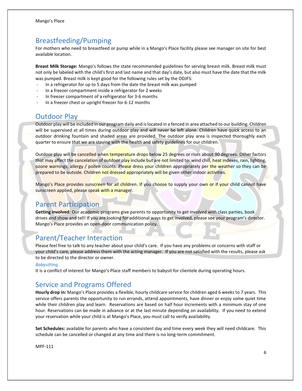# <span id="page-6-0"></span>Breastfeeding/Pumping

For mothers who need to breastfeed or pump while in a Mango's Place facility please see manager on site for best available location.

**Breast Milk Storage:** Mango's follows the state recommended guidelines for serving breast milk. Breast milk must not only be labeled with the child's first and last name and that day's date, but also must have the date that the milk was pumped. Breast milk is kept good for the following rules set by the ODJFS:

- In a refrigerator for up to 5 days from the date the breast milk was pumped
- In a freezer compartment inside a refrigerator for 2 weeks
- In freezer compartment of a refrigerator for 3-6 months
- <span id="page-6-1"></span>In a freezer chest or upright freezer for 6-12 months

## Outdoor Play

Outdoor play will be included in our program daily and is located in a fenced in area attached to our building. Children will be supervised at all times during outdoor play and will never be left alone. Children have quick access to an outdoor drinking fountain and shaded areas are provided. The outdoor play area is inspected thoroughly each quarter to ensure that we are staying with the health and safety guidelines for our children.

Outdoor play will be cancelled when temperature drops below 25 degrees or rises about 90 degrees. Other factors that may affect the cancelation of outdoor play include but are not limited to: wind chill, heat indexes, rain, lighting, ozone warnings, allergy / pollen counts. Please dress your children appropriately per the weather so they can be prepared to be outside. Children not dressed appropriately will be given other indoor activities.

Mango's Place provides sunscreen for all children. If you choose to supply your own or if your child cannot have sunscreen applied, please speak with a manager.

#### <span id="page-6-2"></span>Parent Participation

**Getting involved:** Our academic programs give parents to opportunity to get involved with class parties, book drives and show and tell! If you are looking for additional ways to get involved, please see your program's director. Mango's Place provides an open-door communication policy.

## <span id="page-6-3"></span>Parent/Teacher Interaction

Please feel free to talk to any teacher about your child's care. If you have any problems or concerns with staff or your child's care, please address them with the acting manager. If you are not satisfied with the results, please ask to be directed to the director or owner.

#### *Babysitting*

<span id="page-6-4"></span>It is a conflict of interest for Mango's Place staff members to babysit for clientele during operating hours.

# Service and Programs Offered

**Hourly drop in:** Mango's Place provides a flexible, hourly childcare service for children aged 6 weeks to 7 years. This service offers parents the opportunity to run errands, attend appointments, have dinner or enjoy some quiet time while their children play and learn. Reservations are based on half hour increments with a minimum stay of one hour. Reservations can be made in advance or at the last minute depending on availability. If you need to extend your reservation while your child is at Mango's Place, you must call to verify availability.

**Set Schedules:** available for parents who have a consistent day and time every week they will need childcare. This schedule can be cancelled or changed at any time and there is no long-term commitment.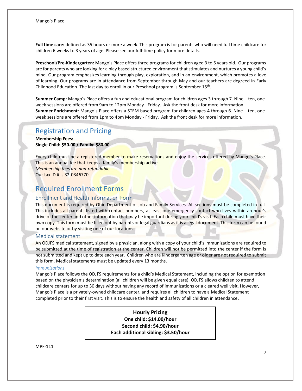**Full time care:** defined as 35 hours or more a week. This program is for parents who will need full time childcare for children 6 weeks to 3 years of age. Please see our full-time policy for more details.

**Preschool/Pre-Kindergarten:** Mango's Place offers three programs for children aged 3 to 5 years old. Our programs are for parents who are looking for a play based structured environment that stimulates and nurtures a young child's mind. Our program emphasizes learning through play, exploration, and in an environment, which promotes a love of learning. Our programs are in attendance from September through May and our teachers are degreed in Early Childhood Education. The last day to enroll in our Preschool program is September 15<sup>th</sup>.

**Summer Camp**: Mango's Place offers a fun and educational program for children ages 3 through 7. Nine – ten, oneweek sessions are offered from 9am to 12pm Monday - Friday. Ask the front desk for more information. **Summer Enrichment**: Mango's Place offers a STEM based program for children ages 4 through 6. Nine – ten, oneweek sessions are offered from 1pm to 4pm Monday - Friday. Ask the front desk for more information.

# <span id="page-7-0"></span>Registration and Pricing

**Membership Fees: Single Child: \$50.00 / Family: \$80.00**

Every child must be a registered member to make reservations and enjoy the services offered by Mango's Place. This is an annual fee that keeps a family's membership active. *Membership fees are non-refundable.*  Our tax ID # is 32-0346770

#### <span id="page-7-1"></span>Required Enrollment Forms

#### Enrollment and Health Information Form

This document is required by Ohio Department of Job and Family Services. All sections must be completed in full. This includes all parents listed with contact numbers, at least one emergency contact who lives within an hour's drive of the center and other information that may be important during your child's visit. Each child must have their own copy. This form must be filled out by parents or legal guardians as it is a legal document. This form can be found on our website or by visiting one of our locations.

#### Medical statement

An ODJFS medical statement, signed by a physician, along with a copy of your child's immunizations are required to be submitted at the time of registration at the center. Children will not be permitted into the center if the form is not submitted and kept up to date each year. Children who are Kindergarten age or older are not required to submit this form. Medical statements must be updated every 13 months.

#### *Immunizations*

Mango's Place follows the ODJFS requirements for a child's Medical Statement, including the option for exemption based on the physician's determination (all children will be given equal care). ODJFS allows children to attend childcare centers for up to 30 days without having any record of immunizations or a cleared well visit. However, Mango's Place is a privately-owned childcare center, and requires all children to have a Medical Statement completed prior to their first visit. This is to ensure the health and safety of all children in attendance.

> **Hourly Pricing One child: \$14.00/hour Second child: \$4.90/hour Each additional sibling: \$3.50/hour**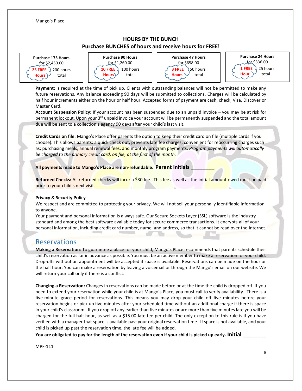#### **HOURS BY THE BUNCH Purchase BUNCHES of hours and receive hours for FREE!**

**Purchase 175 Hours** for \$2,450.00 **25 FREE** 200 hours  $Hours$  total



**Purchase 47 Hours** for \$658.00 **3 FREE** 50 hours **Hours**  $\vee$  total



**Payment:** is required at the time of pick up. Clients with outstanding balances will not be permitted to make any future reservations. Any balance exceeding 90 days will be submitted to collections. Charges will be calculated by half hour increments either on the hour or half hour. Accepted forms of payment are cash, check, Visa, Discover or Master Card.

**Account Suspension Policy:** If your account has been suspended due to an unpaid invoice – you may be at risk for permanent lockout. Upon your 3<sup>rd</sup> unpaid invoice your account will be permanently suspended and the total amount due will be sent to a collection's agency 90 days after your child's last visit.

**Credit Cards on file**: Mango's Place offer parents the option to keep their credit card on file (multiple cards if you choose). This allows parents: a quick check out, prevents late fee charges, convenient for reoccurring charges such as; purchasing meals, annual renewal fees, and monthly program payments. *Program payments will automatically be charged to the primary credit card, on file, at the first of the month.*

**All payments made to Mango's Place are non-refundable**. **Parent initials** \_\_\_\_\_\_\_\_

Returned Checks: All returned checks will incur a \$30 fee. This fee as well as the initial amount owed must be paid prior to your child's next visit.

#### **Privacy & Security Policy**

We respect and are committed to protecting your privacy. We will not sell your personally identifiable information to anyone.

Your payment and personal information is always safe. Our Secure Sockets Layer (SSL) software is the industry standard and among the best software available today for secure commerce transactions. It encrypts all of your personal information, including credit card number, name, and address, so that it cannot be read over the internet.

u n

# <span id="page-8-0"></span>Reservations

**Making a Reservation**: To guarantee a place for your child, Mango's Place recommends that parents schedule their child's reservation as far in advance as possible. You must be an active member to make a reservation for your child. Drop-offs without an appointment will be accepted if space is available. Reservations can be made on the hour or the half hour. You can make a reservation by leaving a voicemail or through the Mango's email on our website. We will return your call only if there is a conflict.

**Changing a Reservation:** Changes in reservations can be made before or at the time the child is dropped off. If you need to extend your reservation while your child is at Mango's Place, you must call to verify availability. There is a five-minute grace period for reservations. This means you may drop your child off five minutes before your reservation begins or pick up five minutes after your scheduled time without an additional charge if there is space in your child's classroom. If you drop off any earlier than five minutes or are more than five minutes late you will be charged for the full half hour, as well as a \$15.00 late fee per child. The only exception to this rule is if you have verified with a manager that space is available past your original reservation time. If space is not available, and your child is picked up past the reservation time, the late fee will be added.

**You are obligated to pay for the length of the reservation even if your child is picked up early. Initial \_\_\_\_\_\_\_\_**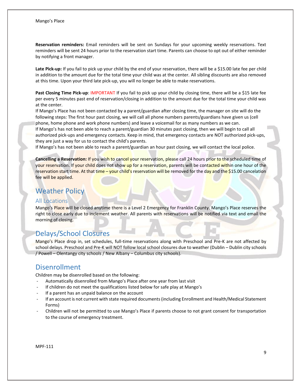**Reservation reminders:** Email reminders will be sent on Sundays for your upcoming weekly reservations. Text reminders will be sent 24 hours prior to the reservation start time. Parents can choose to opt out of either reminder by notifying a front manager.

**Late Pick-up:** If you fail to pick up your child by the end of your reservation, there will be a \$15.00 late fee per child in addition to the amount due for the total time your child was at the center. All sibling discounts are also removed at this time. Upon your third late pick-up, you will no longer be able to make reservations.

**Past Closing Time Pick-up**: IMPORTANT If you fail to pick up your child by closing time, there will be a \$15 late fee per every 5 minutes past end of reservation/closing in addition to the amount due for the total time your child was at the center.

If Mango's Place has not been contacted by a parent/guardian after closing time, the manager on site will do the following steps: The first hour past closing, we will call all phone numbers parents/guardians have given us (cell phone, home phone and work phone numbers) and leave a voicemail for as many numbers as we can.

If Mango's has not been able to reach a parent/guardian 30 minutes past closing, then we will begin to call all authorized pick-ups and emergency contacts. Keep in mind, that emergency contacts are NOT authorized pick-ups, they are just a way for us to contact the child's parents.

If Mango's has not been able to reach a parent/guardian an hour past closing, we will contact the local police.

**Cancelling a Reservation:** If you wish to cancel your reservation, please call 24 hours prior to the scheduled time of your reservation. If your child does not show up for a reservation, parents will be contacted within one hour of the reservation start time. At that time – your child's reservation will be removed for the day and the \$15.00 cancelation fee will be applied.

# <span id="page-9-0"></span>Weather Policy

#### All Locations

Mango's Place will be closed anytime there is a Level 2 Emergency for Franklin County. Mango's Place reserves the right to close early due to inclement weather. All parents with reservations will be notified via text and email the morning of closing.

# <span id="page-9-1"></span>Delays/School Closures

Mango's Place drop in, set schedules, full-time reservations along with Preschool and Pre-K are not affected by school delays. Preschool and Pre-K will NOT follow local school closures due to weather (Dublin – Dublin city schools / Powell – Olentangy city schools / New Albany – Columbus city schools).

## Disenrollment

Children may be disenrolled based on the following:

- Automatically disenrolled from Mango's Place after one year from last visit
- If children do not meet the qualifications listed below for safe play at Mango's
- If a parent has an unpaid balance on the account
- If an account is not current with state required documents (including Enrollment and Health/Medical Statement Forms)
- Children will not be permitted to use Mango's Place if parents choose to not grant consent for transportation to the course of emergency treatment.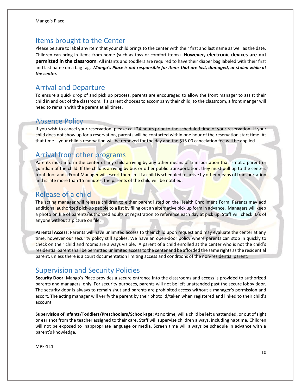## <span id="page-10-0"></span>Items brought to the Center

Please be sure to label any item that your child brings to the center with their first and last name as well as the date. Children can bring in items from home (such as toys or comfort items). **However, electronic devices are not permitted in the classroom**. All infants and toddlers are required to have their diaper bag labeled with their first and last name on a bag tag. *Mango's Place is not responsible for items that are lost, damaged, or stolen while at the center.* 

#### <span id="page-10-1"></span>Arrival and Departure

To ensure a quick drop of and pick up process, parents are encouraged to allow the front manager to assist their child in and out of the classroom. If a parent chooses to accompany their child, to the classroom, a front manger will need to remain with the parent at all times.

#### <span id="page-10-2"></span>Absence Policy

If you wish to cancel your reservation, please call 24 hours prior to the scheduled time of your reservation. If your child does not show up for a reservation, parents will be contacted within one hour of the reservation start time. At that time – your child's reservation will be removed for the day and the \$15.00 cancelation fee will be applied.

## <span id="page-10-3"></span>Arrival from other programs

Parents must inform the center of any child arriving by any other means of transportation that is not a parent or guardian of the child. If the child is arriving by bus or other public transportation, they must pull up to the centers front door and a Front Manager will escort them in. If a child is scheduled to arrive by other means of transportation and is late more than 15 minutes, the parents of the child will be notified.

## <span id="page-10-4"></span>Release of a child

The acting manager will release children to either parent listed on the Health Enrollment Form. Parents may add additional authorized pick-up people to a list by filing out an alternative pick up form in advance. Managers will keep a photo on file of parents/authorized adults at registration to reference each day at pick up. Staff will check ID's of anyone without a picture on file.

**Parental Access:** Parents will have unlimited access to their child upon request and may evaluate the center at any time, however our security policy still applies. We have an open-door policy where parents can stop in quickly to check on their child and rooms are always visible. A parent of a child enrolled at the center who is not the child's residential parent shall be permitted unlimited access to the center and be afforded the same rights as the residential parent, unless there is a court documentation limiting access and conditions of the non-residential parent.

## <span id="page-10-5"></span>Supervision and Security Policies

**Security Door**: Mango's Place provides a secure entrance into the classrooms and access is provided to authorized parents and managers, only. For security purposes, parents will not be left unattended past the secure lobby door. The security door is always to remain shut and parents are prohibited access without a manager's permission and escort. The acting manager will verify the parent by their photo id/taken when registered and linked to their child's account.

**Supervision of Infants/Toddlers/Preschoolers/School-age:** At no time, will a child be left unattended, or out of sight or ear shot from the teacher assigned to their care. Staff will supervise children always, including naptime. Children will not be exposed to inappropriate language or media. Screen time will always be schedule in advance with a parent's knowledge.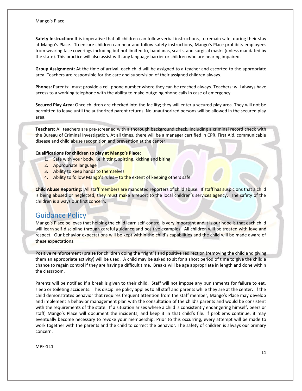#### Mango's Place

**Safety Instruction:** It is imperative that all children can follow verbal instructions, to remain safe, during their stay at Mango's Place. To ensure children can hear and follow safety instructions, Mango's Place prohibits employees from wearing face coverings including but not limited to, bandanas, scarfs, and surgical masks (unless mandated by the state). This practice will also assist with any language barrier or children who are hearing impaired.

**Group Assignment:** At the time of arrival, each child will be assigned to a teacher and escorted to the appropriate area. Teachers are responsible for the care and supervision of their assigned children always.

**Phones:** Parents: must provide a cell phone number where they can be reached always. Teachers: will always have access to a working telephone with the ability to make outgoing phone calls in case of emergency.

**Secured Play Area:** Once children are checked into the facility; they will enter a secured play area. They will not be permitted to leave until the authorized parent returns. No unauthorized persons will be allowed in the secured play area.

**Teachers:** All teachers are pre-screened with a thorough background check, including a criminal record check with the Bureau of Criminal Investigation. At all times, there will be a manager certified in CPR, First Aid, communicable disease and child abuse recognition and prevention at the center.

#### **Qualifications for children to play at Mango's Place:**

- 1. Safe with your body. i.e. hitting, spitting, kicking and biting
- 2. Appropriate language
- 3. Ability to keep hands to themselves
- 4. Ability to follow Mango's rules to the extent of keeping others safe

**Child Abuse Reporting:** All staff members are mandated reporters of child abuse. If staff has suspicions that a child is being abused or neglected, they must make a report to the local children's services agency. The safety of the children is always our first concern.

## <span id="page-11-0"></span>Guidance Policy

Mango's Place believes that helping the child learn self-control is very important and it is our hope is that each child will learn self-discipline through careful guidance and positive examples. All children will be treated with love and respect. Our behavior expectations will be kept within the child's capabilities and the child will be made aware of these expectations.

Positive reinforcement (praise for children doing the "right") and positive redirection (removing the child and giving them an appropriate activity) will be used. A child may be asked to sit for a short period of time to give the child a chance to regain control if they are having a difficult time. Breaks will be age appropriate in length and done within the classroom.

Parents will be notified if a break is given to their child. Staff will not impose any punishments for failure to eat, sleep or toileting accidents. This discipline policy applies to all staff and parents while they are at the center. If the child demonstrates behavior that requires frequent attention from the staff member, Mango's Place may develop and implement a behavior management plan with the consultation of the child's parents and would be consistent with the requirements of the state. If a situation arises where a child is consistently endangering himself, peers or staff, Mango's Place will document the incidents, and keep it in that child's file. If problems continue, it may eventually become necessary to revoke your membership. Prior to this occurring, every attempt will be made to work together with the parents and the child to correct the behavior. The safety of children is always our primary concern.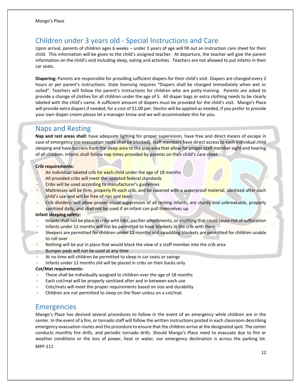# <span id="page-12-0"></span>Children under 3 years old - Special Instructions and Care

Upon arrival, parents of children ages 6 weeks – under 3 years of age will fill out an instruction care sheet for their child. This information will be given to the child's assigned teacher. At departure, the teacher will give the parent information on the child's visit including sleep, eating and activities. Teachers are not allowed to put infants in their car seats.

**Diapering:** Parents are responsible for providing sufficient diapers for their child's visit. Diapers are changed every 2 hours or per parent's instructions. State licensing requires "Diapers shall be changed immediately when wet or soiled". Teachers will follow the parent's instructions for children who are potty-training. Parents are asked to provide a change of clothes for all children under the age of 5. All diaper bags or extra clothing needs to be clearly labeled with the child's name. A sufficient amount of diapers must be provided for the child's visit. Mango's Place will provide extra diapers if needed, for a cost of \$1.00 per. Desitin will be applied as needed, if you prefer to provide your own diaper cream please let a manager know and we will accommodate this for you.

#### <span id="page-12-1"></span>Naps and Resting

**Nap and rest areas shall:** have adequate lighting for proper supervision, have free and direct means of escape in case of emergency (no evacuation route shall be blocked), staff members have direct access to each individual child sleeping and have barriers from the sleep area to the play area that allow for proper staff member sight and hearing of all children. Infants shall follow nap times provided by parents on their child's care sheet.

#### **Crib requirements:**

- An individual labeled crib for each child under the age of 18 months
- All provided cribs will meet the updated federal standards
- Cribs will be used according to manufacturer's guidelines
- Mattresses will be firm, properly fit each crib, and be covered with a waterproof material, sanitized after each child's use and will be free of rips and tears
- Crib dividers: will allow proper visual supervision of all resting infants, are sturdy and unbreakable, properly sanitized daily, and shall not be used if an infant can pull themselves up

#### **Infant sleeping safety:**

- Infants shall not be place in cribs with bibs, pacifier attachments, or anything that could cause risk of suffocation
- Infants under 12 months will not be permitted to have blankets in the crib with them
- Sleepers are permitted for children under 12 months and swaddling blankets are permitted for children unable to roll over
- Nothing will be put in place that would block the view of a staff member into the crib area
- Bumper pads will not be used at any time
- At no time will children be permitted to sleep in car seats or swings
- Infants under 12 months old will be placed in cribs on their backs only

#### **Cot/Mat requirements:**

- These shall be individually assigned to children over the age of 18 months
- Each cot/mat will be properly sanitized after and in between each use
- Cots/mats will meet the proper requirements based on size and durability
- <span id="page-12-2"></span>Children are not permitted to sleep on the floor unless on a cot/mat

#### Emergencies

Mango's Place has devised several procedures to follow in the event of an emergency while children are in the center. In the event of a fire, or tornado staff will follow the written instructions posted in each classroom describing emergency evacuation routes and the procedure to ensure that the children arrive at the designated spot. The center conducts monthly fire drills, and periodic tornado drills. Should Mango's Place need to evacuate due to fire or weather conditions or the loss of power, heat or water, our emergency destination is across the parking lot.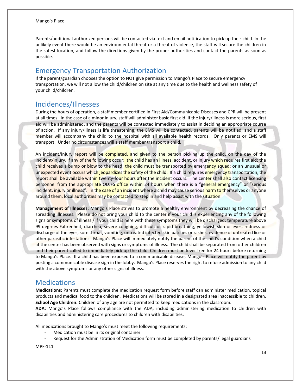Parents/additional authorized persons will be contacted via text and email notification to pick up their child. In the unlikely event there would be an environmental threat or a threat of violence, the staff will secure the children in the safest location, and follow the directions given by the proper authorities and contact the parents as soon as possible.

## <span id="page-13-0"></span>Emergency Transportation Authorization

If the parent/guardian chooses the option to NOT give permission to Mango's Place to secure emergency transportation, we will not allow the child/children on site at any time due to the health and wellness safety of your child/children.

## <span id="page-13-1"></span>Incidences/Illnesses

During the hours of operation, a staff member certified in First Aid/Communicable Diseases and CPR will be present at all times. In the case of a minor injury, staff will administer basic first aid. If the injury/illness is more serious, first aid will be administered, and the parents will be contacted immediately to assist in deciding an appropriate course of action. If any injury/illness is life threatening, the EMS will be contacted, parents will be notified, and a staff member will accompany the child to the hospital with all available health records. Only parents or EMS will transport. Under no circumstances will a staff member transport a child.

An incident/injury report will be completed, and given to the person picking up the child, on the day of the incident/injury, if any of the following occur: the child has an illness, accident, or injury which requires first aid; the child receives a bump or blow to the head; the child must be transported by emergency squad; or an unusual or unexpected event occurs which jeopardizes the safety of the child. If a child requires emergency transportation, the report shall be available within twenty-four hours after the incident occurs. The center shall also contact licensing personnel from the appropriate ODJFS office within 24 hours when there is a "general emergency" or "serious incident, injury or illness". In the case of an incident where a child may cause serious harm to themselves or anyone around them, local authorities may be contacted to step in and help assist with the situation.

**Management of Illnesses:** Mango's Place strives to promote a healthy environment by decreasing the chance of spreading illnesses. Please do not bring your child to the center if your child is experiencing any of the following signs or symptoms of illness / if your child is here with these symptoms they will be discharged: temperature above 99 degrees Fahrenheit, diarrhea, severe coughing, difficult or rapid breathing, yellowish skin or eyes, redness or discharge of the eyes, sore throat, vomiting, untreated infected skin patches or rashes, evidence of untreated lice or other parasitic infestations. Mango's Place will immediately notify the parent of the child's condition when a child at the center has been observed with signs or symptoms of illness. The child shall be separated from other children and their parent called to immediately pick up the child. Children must be fever free for 24 hours before returning to Mango's Place. If a child has been exposed to a communicable disease, Mango's Place will notify the parent by posting a communicable disease sign in the lobby. Mango's Place reserves the right to refuse admission to any child with the above symptoms or any other signs of illness.

#### <span id="page-13-2"></span>**Medications**

**Medications:** Parents must complete the medication request form before staff can administer medication, topical products and medical food to the children. Medications will be stored in a designated area inaccessible to children. **School Age Children:** Children of any age are not permitted to keep medications in the classroom.

**ADA:** Mango's Place follows compliance with the ADA, including administering medication to children with disabilities and administering care procedures to children with disabilities.

All medications brought to Mango's must meet the following requirements:

- Medication must be in its original container
- Request for the Administration of Medication form must be completed by parents/ legal guardians